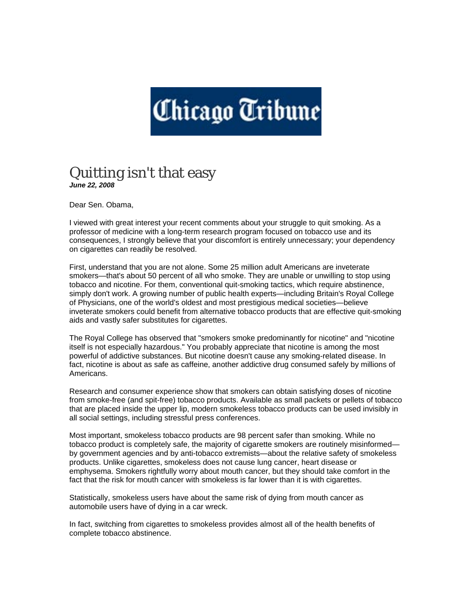## Chicago Tribune

## Quitting isn't that easy *June 22, 2008*

Dear Sen. Obama,

I viewed with great interest your recent comments about your struggle to quit smoking. As a professor of medicine with a long-term research program focused on tobacco use and its consequences, I strongly believe that your discomfort is entirely unnecessary; your dependency on cigarettes can readily be resolved.

First, understand that you are not alone. Some 25 million adult Americans are inveterate smokers—that's about 50 percent of all who smoke. They are unable or unwilling to stop using tobacco and nicotine. For them, conventional quit-smoking tactics, which require abstinence, simply don't work. A growing number of public health experts—including Britain's Royal College of Physicians, one of the world's oldest and most prestigious medical societies—believe inveterate smokers could benefit from alternative tobacco products that are effective quit-smoking aids and vastly safer substitutes for cigarettes.

The Royal College has observed that "smokers smoke predominantly for nicotine" and "nicotine itself is not especially hazardous." You probably appreciate that nicotine is among the most powerful of addictive substances. But nicotine doesn't cause any smoking-related disease. In fact, nicotine is about as safe as caffeine, another addictive drug consumed safely by millions of Americans.

Research and consumer experience show that smokers can obtain satisfying doses of nicotine from smoke-free (and spit-free) tobacco products. Available as small packets or pellets of tobacco that are placed inside the upper lip, modern smokeless tobacco products can be used invisibly in all social settings, including stressful press conferences.

Most important, smokeless tobacco products are 98 percent safer than smoking. While no tobacco product is completely safe, the majority of cigarette smokers are routinely misinformed by government agencies and by anti-tobacco extremists—about the relative safety of smokeless products. Unlike cigarettes, smokeless does not cause lung cancer, heart disease or emphysema. Smokers rightfully worry about mouth cancer, but they should take comfort in the fact that the risk for mouth cancer with smokeless is far lower than it is with cigarettes.

Statistically, smokeless users have about the same risk of dying from mouth cancer as automobile users have of dying in a car wreck.

In fact, switching from cigarettes to smokeless provides almost all of the health benefits of complete tobacco abstinence.